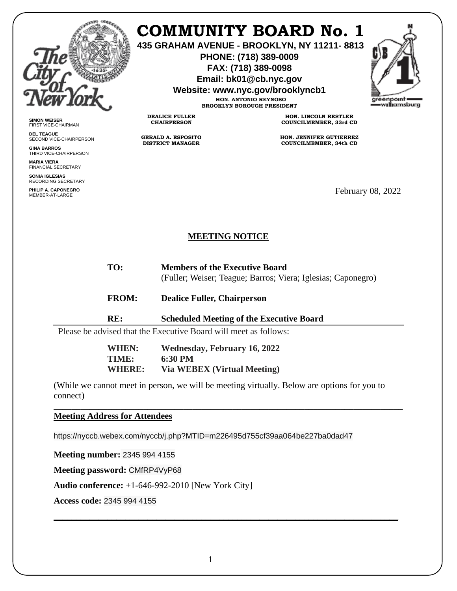

**SIMON WEISER** FIRST VICE-CHAIRMAN **DEL TEAGUE**

**GINA BARROS** THIRD VICE-CHAIRPERSON

**MARIA VIERA** FINANCIAL SECRETARY **SONIA IGLESIAS** RECORDING SECRETARY **PHILIP A. CAPONEGRO**

SECOND VICE-CHAIRPERSON

## **COMMUNITY BOARD No. 1**

**435 GRAHAM AVENUE - BROOKLYN, NY 11211- 8813**

**PHONE: (718) 389-0009 FAX: (718) 389-0098**

**Email: bk01@cb.nyc.gov**

**Website: www.nyc.gov/brooklyncb1**

**HON. ANTONIO REYNOSO BROOKLYN BOROUGH PRESIDENT**

**DEALICE FULLER CHAIRPERSON**

**GERALD A. ESPOSITO DISTRICT MANAGER**

**HON. LINCOLN RESTLER COUNCILMEMBER, 33rd CD**

**HON. JENNIFER GUTIERREZ COUNCILMEMBER, 34th CD**

February 08, 2022

## **MEETING NOTICE**

**TO: Members of the Executive Board**

(Fuller; Weiser; Teague; Barros; Viera; Iglesias; Caponegro)

- **FROM: Dealice Fuller, Chairperson**
- **RE: Scheduled Meeting of the Executive Board**

Please be advised that the Executive Board will meet as follows:

**WHEN: Wednesday, February 16, 2022 TIME: 6:30 PM WHERE: Via WEBEX (Virtual Meeting)**

(While we cannot meet in person, we will be meeting virtually. Below are options for you to connect)

\_\_\_\_\_\_\_\_\_\_\_\_\_\_\_\_\_\_\_\_\_\_\_\_\_\_\_\_\_\_\_\_\_\_\_\_\_\_\_\_\_\_\_\_\_\_\_\_\_\_\_\_\_\_\_\_\_\_\_\_\_\_\_\_\_\_\_\_\_\_\_\_\_\_\_\_\_\_

\_\_\_\_\_\_\_\_\_\_\_\_\_\_\_\_\_\_\_\_\_\_\_\_\_\_\_\_\_\_\_\_\_\_\_\_\_\_\_\_\_\_\_\_\_\_\_\_\_\_\_\_\_\_\_\_\_\_\_\_\_\_\_\_\_\_\_\_\_\_\_\_\_\_\_\_\_

**Meeting Address for Attendees** 

https://nyccb.webex.com/nyccb/j.php?MTID=m226495d755cf39aa064be227ba0dad47

**Meeting number:** 2345 994 4155

**Meeting password:** CMfRP4VyP68

**Audio conference:** +1-646-992-2010 [New York City]

**Access code:** 2345 994 4155

1